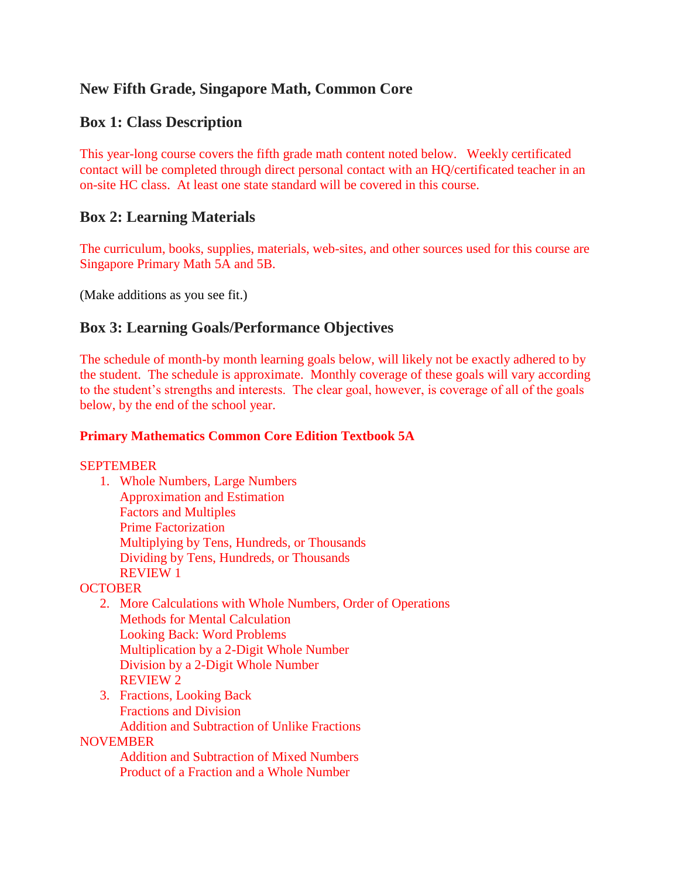# **New Fifth Grade, Singapore Math, Common Core**

## **Box 1: Class Description**

This year-long course covers the fifth grade math content noted below. Weekly certificated contact will be completed through direct personal contact with an HQ/certificated teacher in an on-site HC class. At least one state standard will be covered in this course.

## **Box 2: Learning Materials**

The curriculum, books, supplies, materials, web-sites, and other sources used for this course are Singapore Primary Math 5A and 5B.

(Make additions as you see fit.)

## **Box 3: Learning Goals/Performance Objectives**

The schedule of month-by month learning goals below, will likely not be exactly adhered to by the student. The schedule is approximate. Monthly coverage of these goals will vary according to the student's strengths and interests. The clear goal, however, is coverage of all of the goals below, by the end of the school year.

## **Primary Mathematics Common Core Edition Textbook 5A**

**SEPTEMBER** 

1. Whole Numbers, Large Numbers Approximation and Estimation Factors and Multiples Prime Factorization Multiplying by Tens, Hundreds, or Thousands Dividing by Tens, Hundreds, or Thousands REVIEW 1

**OCTOBER** 

- 2. More Calculations with Whole Numbers, Order of Operations Methods for Mental Calculation Looking Back: Word Problems Multiplication by a 2-Digit Whole Number Division by a 2-Digit Whole Number REVIEW 2
- 3. Fractions, Looking Back Fractions and Division Addition and Subtraction of Unlike Fractions

**NOVEMBER** 

Addition and Subtraction of Mixed Numbers Product of a Fraction and a Whole Number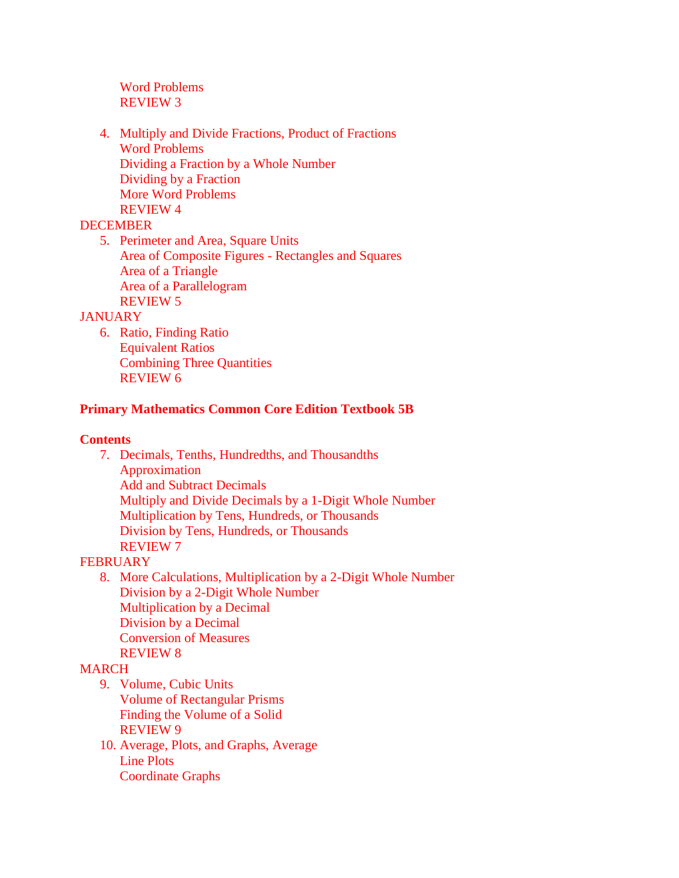Word Problems REVIEW 3

4. Multiply and Divide Fractions, Product of Fractions Word Problems Dividing a Fraction by a Whole Number Dividing by a Fraction More Word Problems REVIEW 4

### DECEMBER

5. Perimeter and Area, Square Units Area of Composite Figures - Rectangles and Squares Area of a Triangle Area of a Parallelogram REVIEW 5

### **JANUARY**

6. Ratio, Finding Ratio Equivalent Ratios Combining Three Quantities REVIEW 6

### **Primary Mathematics Common Core Edition Textbook 5B**

### **Contents**

7. Decimals, Tenths, Hundredths, and Thousandths Approximation Add and Subtract Decimals Multiply and Divide Decimals by a 1-Digit Whole Number Multiplication by Tens, Hundreds, or Thousands Division by Tens, Hundreds, or Thousands REVIEW 7

## **FEBRUARY**

8. More Calculations, Multiplication by a 2-Digit Whole Number Division by a 2-Digit Whole Number Multiplication by a Decimal Division by a Decimal Conversion of Measures REVIEW 8

### MARCH

- 9. Volume, Cubic Units
	- Volume of Rectangular Prisms Finding the Volume of a Solid REVIEW 9
- 10. Average, Plots, and Graphs, Average Line Plots Coordinate Graphs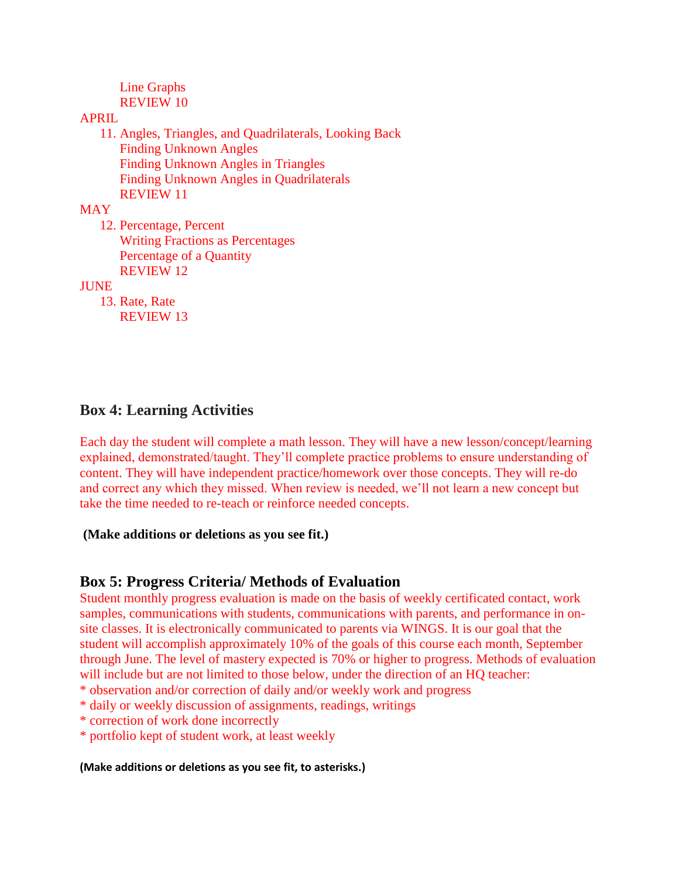Line Graphs REVIEW 10

### APRIL

11. Angles, Triangles, and Quadrilaterals, Looking Back Finding Unknown Angles Finding Unknown Angles in Triangles Finding Unknown Angles in Quadrilaterals REVIEW 11

**MAY** 

12. Percentage, Percent Writing Fractions as Percentages Percentage of a Quantity REVIEW 12

JUNE

13. Rate, Rate REVIEW 13

## **Box 4: Learning Activities**

Each day the student will complete a math lesson. They will have a new lesson/concept/learning explained, demonstrated/taught. They'll complete practice problems to ensure understanding of content. They will have independent practice/homework over those concepts. They will re-do and correct any which they missed. When review is needed, we'll not learn a new concept but take the time needed to re-teach or reinforce needed concepts.

### **(Make additions or deletions as you see fit.)**

## **Box 5: Progress Criteria/ Methods of Evaluation**

Student monthly progress evaluation is made on the basis of weekly certificated contact, work samples, communications with students, communications with parents, and performance in onsite classes. It is electronically communicated to parents via WINGS. It is our goal that the student will accomplish approximately 10% of the goals of this course each month, September through June. The level of mastery expected is 70% or higher to progress. Methods of evaluation will include but are not limited to those below, under the direction of an HQ teacher:

\* observation and/or correction of daily and/or weekly work and progress

- \* daily or weekly discussion of assignments, readings, writings
- \* correction of work done incorrectly
- \* portfolio kept of student work, at least weekly

#### **(Make additions or deletions as you see fit, to asterisks.)**